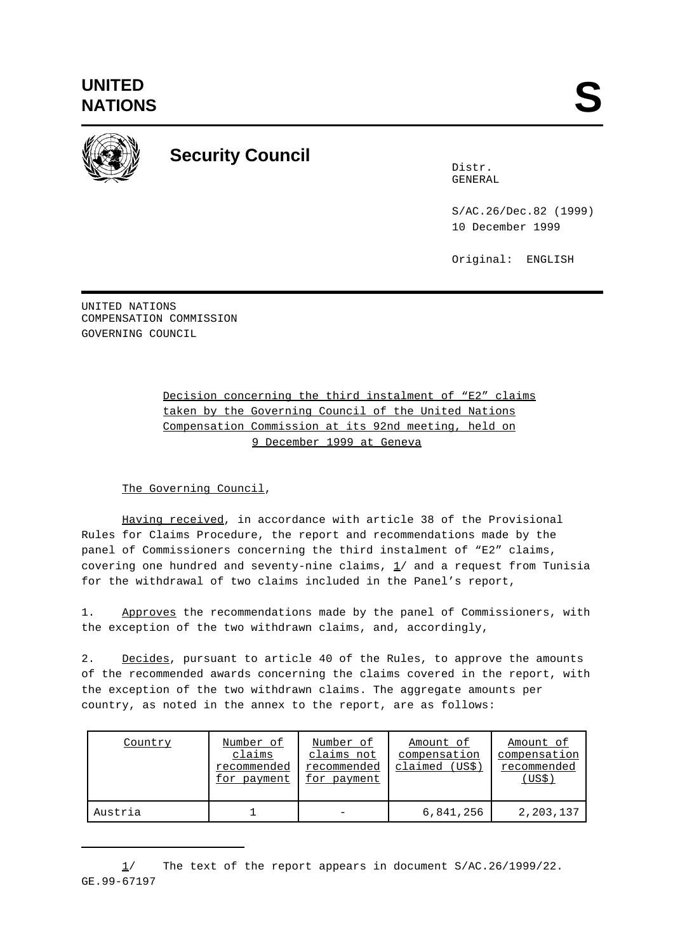

## **Security Council**

Distr. GENERAL

S/AC.26/Dec.82 (1999) 10 December 1999

Original: ENGLISH

UNITED NATIONS COMPENSATION COMMISSION GOVERNING COUNCIL

> Decision concerning the third instalment of "E2" claims taken by the Governing Council of the United Nations Compensation Commission at its 92nd meeting, held on 9 December 1999 at Geneva

The Governing Council,

Having received, in accordance with article 38 of the Provisional Rules for Claims Procedure, the report and recommendations made by the panel of Commissioners concerning the third instalment of "E2" claims, covering one hundred and seventy-nine claims,  $1/$  and a request from Tunisia for the withdrawal of two claims included in the Panel's report,

1. Approves the recommendations made by the panel of Commissioners, with the exception of the two withdrawn claims, and, accordingly,

2. Decides, pursuant to article 40 of the Rules, to approve the amounts of the recommended awards concerning the claims covered in the report, with the exception of the two withdrawn claims. The aggregate amounts per country, as noted in the annex to the report, are as follows:

| Country | Number of<br>claims<br>recommended<br>for payment | Number of<br>claims not<br>recommended<br>for payment | Amount of<br>compensation<br>claimed (US\$) | Amount of<br>compensation<br>recommended<br>(US\$) |
|---------|---------------------------------------------------|-------------------------------------------------------|---------------------------------------------|----------------------------------------------------|
| Austria |                                                   |                                                       | 6,841,256                                   | 2,203,137                                          |

<sup>1/</sup> The text of the report appears in document S/AC.26/1999/22. GE.99-67197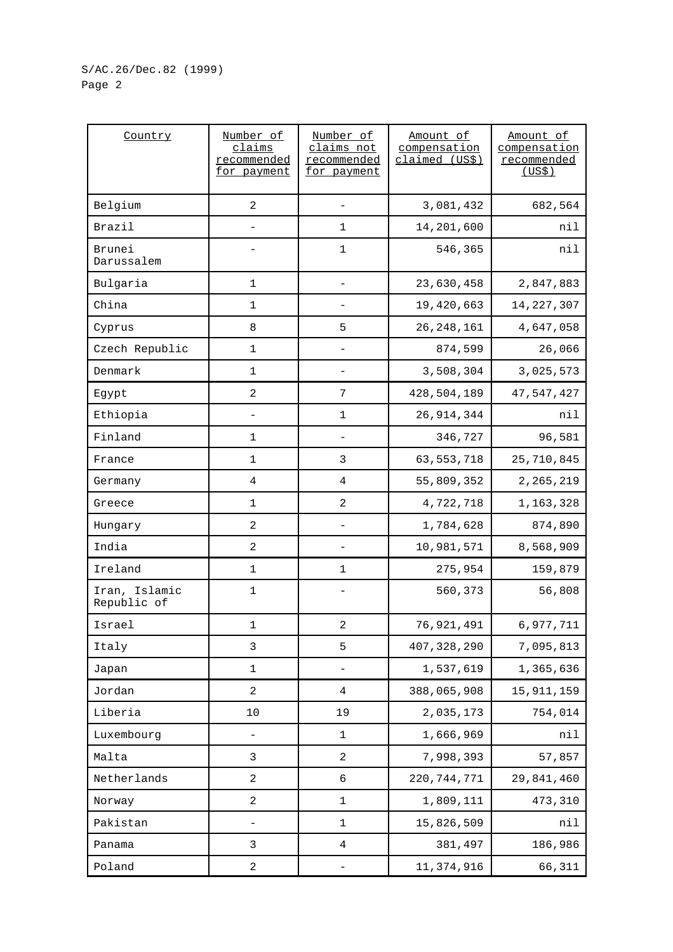## S/AC.26/Dec.82 (1999) Page 2

| Country                      | Number of<br>claims<br>recommended<br>for payment | Number of<br>claims not<br>recommended<br>for payment | Amount of<br>compensation<br>claimed (US\$) | Amount of<br>compensation<br>recommended<br>(US\$) |
|------------------------------|---------------------------------------------------|-------------------------------------------------------|---------------------------------------------|----------------------------------------------------|
| Belgium                      | $\overline{2}$                                    |                                                       | 3,081,432                                   | 682,564                                            |
| Brazil                       |                                                   | 1                                                     | 14,201,600                                  | nil                                                |
| Brunei<br>Darussalem         |                                                   | $\mathbf 1$                                           | 546,365                                     | nil                                                |
| Bulgaria                     | 1                                                 |                                                       | 23,630,458                                  | 2,847,883                                          |
| China                        | 1                                                 |                                                       | 19,420,663                                  | 14, 227, 307                                       |
| Cyprus                       | 8                                                 | 5                                                     | 26, 248, 161                                | 4,647,058                                          |
| Czech Republic               | $\mathbf 1$                                       |                                                       | 874,599                                     | 26,066                                             |
| Denmark                      | 1                                                 |                                                       | 3,508,304                                   | 3,025,573                                          |
| Egypt                        | $\overline{a}$                                    | 7                                                     | 428,504,189                                 | 47,547,427                                         |
| Ethiopia                     |                                                   | 1                                                     | 26, 914, 344                                | nil                                                |
| Finland                      | $\mathbf 1$                                       | $\qquad \qquad -$                                     | 346,727                                     | 96,581                                             |
| France                       | $\mathbf 1$                                       | 3                                                     | 63, 553, 718                                | 25,710,845                                         |
| Germany                      | $\overline{4}$                                    | 4                                                     | 55,809,352                                  | 2, 265, 219                                        |
| Greece                       | $\mathbf 1$                                       | $\overline{a}$                                        | 4,722,718                                   | 1,163,328                                          |
| Hungary                      | $\overline{\mathbf{c}}$                           |                                                       | 1,784,628                                   | 874,890                                            |
| India                        | 2                                                 |                                                       | 10,981,571                                  | 8,568,909                                          |
| Ireland                      | $\mathbf 1$                                       | $\mathbf 1$                                           | 275,954                                     | 159,879                                            |
| Iran, Islamic<br>Republic of | 1                                                 |                                                       | 560,373                                     | 56,808                                             |
| Israel                       | 1                                                 | $\sqrt{2}$                                            | 76,921,491                                  | 6,977,711                                          |
| Italy                        | 3                                                 | 5                                                     | 407, 328, 290                               | 7,095,813                                          |
| Japan                        | $\mathbf 1$                                       |                                                       | 1,537,619                                   | 1,365,636                                          |
| Jordan                       | $\overline{a}$                                    | 4                                                     | 388,065,908                                 | 15, 911, 159                                       |
| Liberia                      | 10                                                | 19                                                    | 2,035,173                                   | 754,014                                            |
| Luxembourg                   |                                                   | 1                                                     | 1,666,969                                   | nil                                                |
| Malta                        | 3                                                 | 2                                                     | 7,998,393                                   | 57,857                                             |
| Netherlands                  | $\overline{a}$                                    | 6                                                     | 220, 744, 771                               | 29,841,460                                         |
| Norway                       | $\overline{a}$                                    | 1                                                     | 1,809,111                                   | 473,310                                            |
| Pakistan                     | $\qquad \qquad -$                                 | $\mathbf 1$                                           | 15,826,509                                  | nil                                                |
| Panama                       | 3                                                 | 4                                                     | 381,497                                     | 186,986                                            |
| Poland                       | 2                                                 |                                                       | 11,374,916                                  | 66,311                                             |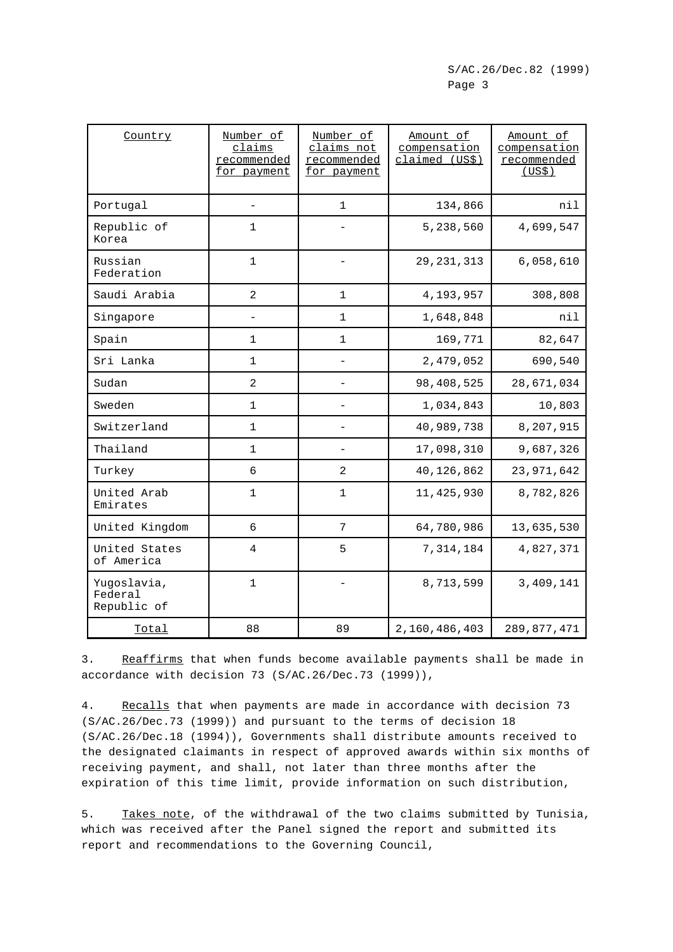| Country                               | Number of<br>claims<br>recommended<br>for payment | Number of<br>claims not<br>recommended<br>for payment | Amount of<br>compensation<br>claimed (US\$) | Amount of<br>compensation<br>recommended<br>(US\$) |
|---------------------------------------|---------------------------------------------------|-------------------------------------------------------|---------------------------------------------|----------------------------------------------------|
| Portugal                              |                                                   | 1                                                     | 134,866                                     | nil                                                |
| Republic of<br>Korea                  | $\mathbf{1}$                                      |                                                       | 5,238,560                                   | 4,699,547                                          |
| Russian<br>Federation                 | $\mathbf{1}$                                      |                                                       | 29, 231, 313                                | 6,058,610                                          |
| Saudi Arabia                          | $\overline{2}$                                    | 1                                                     | 4,193,957                                   | 308,808                                            |
| Singapore                             |                                                   | $\mathbf 1$                                           | 1,648,848                                   | nil                                                |
| Spain                                 | $\mathbf{1}$                                      | 1                                                     | 169,771                                     | 82,647                                             |
| Sri Lanka                             | $\mathbf{1}$                                      |                                                       | 2,479,052                                   | 690,540                                            |
| Sudan                                 | $\overline{a}$                                    |                                                       | 98,408,525                                  | 28,671,034                                         |
| Sweden                                | 1                                                 |                                                       | 1,034,843                                   | 10,803                                             |
| Switzerland                           | $\mathbf{1}$                                      | $\qquad \qquad -$                                     | 40,989,738                                  | 8,207,915                                          |
| Thailand                              | $\mathbf{1}$                                      |                                                       | 17,098,310                                  | 9,687,326                                          |
| Turkey                                | 6                                                 | 2                                                     | 40,126,862                                  | 23,971,642                                         |
| United Arab<br>Emirates               | $\mathbf{1}$                                      | $\mathbf 1$                                           | 11, 425, 930                                | 8,782,826                                          |
| United Kingdom                        | $\sqrt{6}$                                        | $7\phantom{.}$                                        | 64,780,986                                  | 13,635,530                                         |
| United States<br>of America           | 4                                                 | 5                                                     | 7,314,184                                   | 4,827,371                                          |
| Yugoslavia,<br>Federal<br>Republic of | $\mathbf{1}$                                      |                                                       | 8,713,599                                   | 3,409,141                                          |
| Total                                 | 88                                                | 89                                                    | 2,160,486,403                               | 289,877,471                                        |

3. Reaffirms that when funds become available payments shall be made in accordance with decision 73 (S/AC.26/Dec.73 (1999)),

4. Recalls that when payments are made in accordance with decision 73 (S/AC.26/Dec.73 (1999)) and pursuant to the terms of decision 18 (S/AC.26/Dec.18 (1994)), Governments shall distribute amounts received to the designated claimants in respect of approved awards within six months of receiving payment, and shall, not later than three months after the expiration of this time limit, provide information on such distribution,

5. Takes note, of the withdrawal of the two claims submitted by Tunisia, which was received after the Panel signed the report and submitted its report and recommendations to the Governing Council,